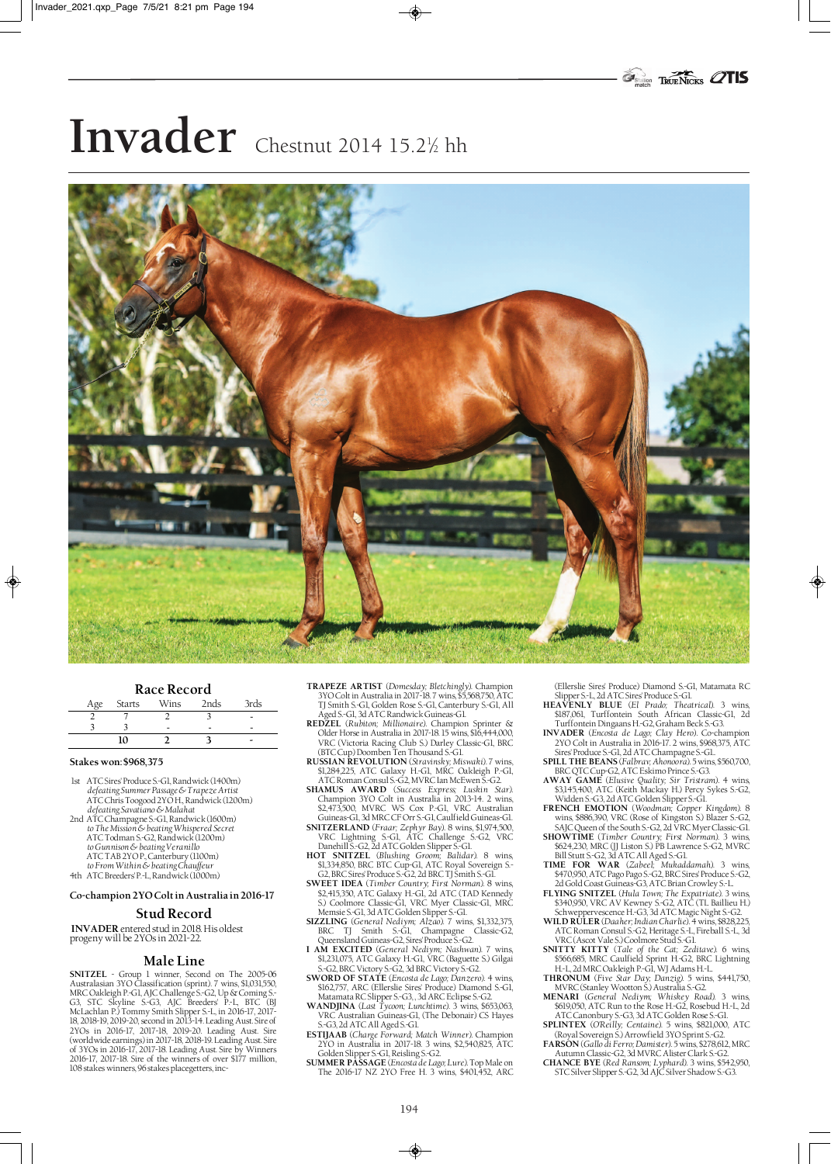# Invader Chestnut 2014 15.2½ hh



#### **Race Record**

| Age Starts | Wins | 2nds | 3rds |
|------------|------|------|------|
|            |      |      | -    |
|            |      |      |      |
| 10         |      |      |      |

#### **Stakes won: \$968,375**

♦

- 1st ATC Sires' Produce S.-G1, Randwick (1400m) *defeating Summer Passage & Trapeze Artist* ATC Chris Toogood 2YO H., Randwick (1200m) *defeating Savatiano & Malahat*
- 2nd ATC Champagne S.-G1, Randwick (1600m) *to The Mission & beating Whispered Secret* ATC Todman S.-G2, Randwick (1200m) *to Gunnison & beating Veranillo*
	- ATC TAB 2YO P., Canterbury (1100m) *to From Within & beating Chauffeur*
- 4th ATC Breeders' P.-L, Randwick (1000m)

### **Co-champion 2YO Colt in Australia in 2016-17**

## **Stud Record**

**INVADER** entered stud in 2018. His oldest progeny will be 2YOs in 2021-22.

#### **Male Line**

**SNITZEL** - Group 1 winner, Second on The 2005-06 Australasian 3YO Classification (sprint). 7 wins, \$1,031,550, MRC Oakleigh P.-G1, AJC Challenge S.-G2, Up & Coming S.- G3, STC Skyline S.-G3, AJC Breeders' P.-L, BTC (BJ McLachlan P.) Tommy Smith Slipper S.-L, in 2016-17, 2017- 18, 2018-19, 2019-20, second in 2013-14. Leading Aust. Sire of 2YOs in 2016-17, 2017-18, 2019-20. Leading Aust. Sire (worldwide earnings) in 2017-18, 2018-19. Leading Aust. Sire of 3YOs in 2016-17, 2017-18. Leading Aust. Sire by Winners 2016-17, 2017-18. Sire of the winners of over \$177 million, 108 stakes winners, 96 stakes placegetters, inc-

- **TRAPEZE ARTIST** (*Domesday; Bletchingly*). Champion 3YO Colt in Australia in 2017-18. 7 wins, \$5,568,750, ATC TJ Smith S.-G1, Golden Rose S.-G1, Canterbury S.-G1, All
- Aged S.-G1, 3d ATC Randwick Guineas-G1. **REDZEL** (*Rubiton; Millionaire*). Champion Sprinter & Older Horse in Australia in 2017-18. 15 wins, \$16,444,000, VRC (Victoria Racing Club S.) Darley Classic-G1, BRC
- (BTC Cup) Doomben Ten Thousand S.-G1. **RUSSIAN REVOLUTION** (*Stravinsky; Miswaki*). 7 wins, \$1,284,225, ATC Galaxy H.-G1, MRC Oakleigh P.-G1, ATC Roman Consul S.-G2, MVRC Ian McEwen S.-G2.
- **SHAMUS AWARD** (*Success Express; Luskin Star*). Champion 3YO Colt in Australia in 2013-14. 2 wins, \$2,473,500, MVRC WS Cox P.-G1, VRC Australian Guineas-G1, 3d MRC CF Orr S.-G1, Caulfield Guineas-G1. **SNITZERLAND** (*Fraar; Zephyr Bay*). 8 wins, \$1,974,500,
- VRC Lightning S.-G1, ATC Challenge S.-G2, VRC Danehill S.-G2, 2d ATC Golden Slipper S.-G1.
- **HOT SNITZEL** (*Blushing Groom; Balidar*). 8 wins, \$1,334,850, BRC BTC Cup-G1, ATC Royal Sovereign S.- G2, BRC Sires' Produce S.-G2, 2d BRC TJ Smith S.-G1. **SWEET IDEA** (*Timber Country; First Norman*). 8 wins,
- \$2,415,350, ATC Galaxy H.-G1, 2d ATC (TAD Kennedy S.) Coolmore Classic-G1, VRC Myer Classic-G1, MRC
- Memsie S.-G1, 3d ATC Golden Slipper S.-G1.<br>**SIZZLING** (*General Nediym; Alzao). 7* wins, \$1,332,375,<br>BRC TJ Smith S.-G1, Champagne Classic-G2, Queensland Guineas-G2, Sires' Produce S.-G2.
- **I AM EXCITED** (*General Nediym; Nashwan*). 7 wins, \$1,231,075, ATC Galaxy H.-G1, VRC (Baguette S.) Gilgai
- S.-G2, BRC Victory S.-G2, 3d BRC Victory S.-G2. **SWORD OF STATE** (*Encosta de Lago; Danzero*). 4 wins, \$162,757, ARC (Ellerslie Sires' Produce) Diamond S.-G1,
- Matamata RC Slipper S.-G3, , 3d ARC Eclipse S.-G2. **WANDJINA** (*Last Tycoon; Lunchtime*). 3 wins, \$653,063, VRC Australian Guineas-G1, (The Debonair) CS Hayes
- S.-G3, 2d ATC All Aged S.-G1. **ESTIJAAB** (*Charge Forward; Match Winner*). Champion 2YO in Australia in 2017-18. 3 wins, \$2,540,825, ATC
- Golden Slipper S.-G1, Reisling S.-G2. **SUMMER PASSAGE** (*Encosta de Lago; Lure*). Top Male on The 2016-17 NZ 2YO Free H. 3 wins, \$401,452, ARC

(Ellerslie Sires' Produce) Diamond S.-G1, Matamata RC Slipper S.-L, 2d ATC Sires' Produce S.-G1. **HEAVENLY BLUE** (*El Prado; Theatrical*). 3 wins,

♦

- \$187,061, Turffontein South African Classic-G1, 2d
- Turffontein Dingaans H.-G2, Graham Beck S.-G3. **INVADER** (*Encosta de Lago; Clay Hero*). Co-champion 2YO Colt in Australia in 2016-17. 2 wins, \$968,375, ATC
- Sires' Produce S.-G1, 2d ATC Champagne S.-G1.. **SPILL THE BEANS** (*Falbrav; Ahonoora*). 5 wins, \$560,700,
- BRC QTC Cup-G2, ATC Eskimo Prince S.-G3. **AWAY GAME** (*Elusive Quality; Sir Tristram*). 4 wins, \$3,145,400, ATC (Keith Mackay H.) Percy Sykes S.-G2,
- Widden S.-G3, 2d ATC Golden Slipper S.-G1. **FRENCH EMOTION** (*Woodman; Copper Kingdom*). 8 wins, \$886,390, VRC (Rose of Kingston S.) Blazer S.-G2,
- SAJC Queen of the South S.-G2, 2d VRC Myer Classic-G1. **SHOWTIME** (*Timber Country; First Norman*). 3 wins, \$624,230, MRC (JJ Liston S.) PB Lawrence S.-G2, MVRC
- Bill Stutt S.-G2, 3d ATC All Aged S.-G1. **TIME FOR WAR** (*Zabeel; Mukaddamah*). 3 wins, \$470,950, ATC Pago Pago S.-G2, BRC Sires' Produce S.-G2,
- 2d Gold Coast Guineas-G3, ATC Brian Crowley S.-L. **FLYING SNITZEL** (*Hula Town; The Expatriate*). 3 wins, \$340,950, VRC AV Kewney S.-G2, ATC (TL Baillieu H.) Schweppervescence H.-G3, 3d ATC Magic Night S.-G2.
- **WILD RULER** (*Daaher; Indian Charlie*). 4 wins, \$828,225, ATC Roman Consul S.-G2, Heritage S.-L, Fireball S.-L, 3d VRC (Ascot Vale S.) Coolmore Stud S.-G1.
- **SNITTY KITTY** (*Tale of the Cat; Zeditave*). 6 wins, \$566,685, MRC Caulfield Sprint H.-G2, BRC Lightning
- H.-L, 2d MRC Oakleigh P.-G1, WJ Adams H.-L. **THRONUM** (*Five Star Day; Danzig*). 5 wins, \$441,750, MVRC (Stanley Wootton S.) Australia S.-G2. **MENARI** (*General Nediym; Whiskey Road*). 3 wins,
- \$619,050, ATC Run to the Rose H.-G2, Rosebud H.-L, 2d
- ATC Canonbury S.-G3, 3d ATC Golden Rose S.-G1. **SPLINTEX** (*O'Reilly; Centaine*). 5 wins, \$821,000, ATC (Royal Sovereign S.) Arrowfield 3YO Sprint S.-G2. **FARSON** (*Gallo di Ferro; Damister*). 5 wins, \$278,612, MRC
- Autumn Classic-G2, 3d MVRC Alister Clark S.-G2. **CHANCE BYE** (*Red Ransom; Lyphard*). 3 wins, \$542,950, STC Silver Slipper S.-G2, 3d AJC Silver Shadow S.-G3.
-